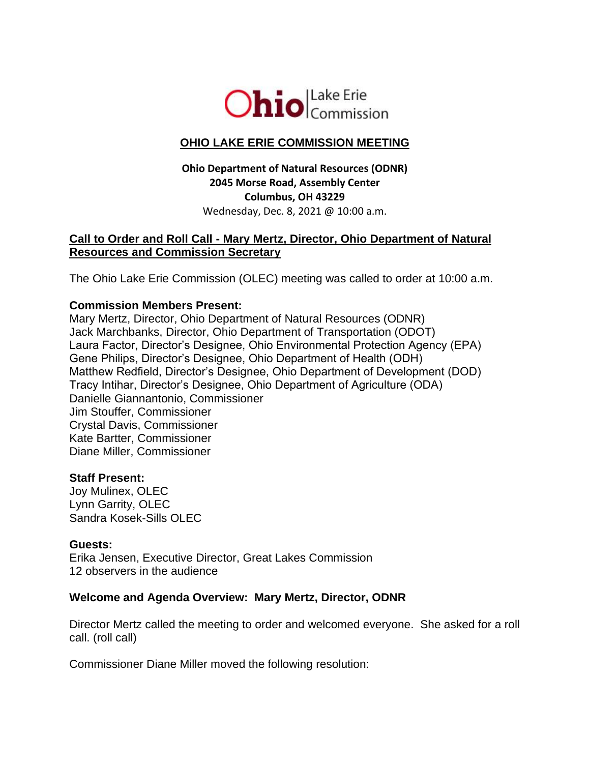

# **OHIO LAKE ERIE COMMISSION MEETING**

# **Ohio Department of Natural Resources (ODNR) 2045 Morse Road, Assembly Center Columbus, OH 43229** Wednesday, Dec. 8, 2021 @ 10:00 a.m.

# **Call to Order and Roll Call - Mary Mertz, Director, Ohio Department of Natural Resources and Commission Secretary**

The Ohio Lake Erie Commission (OLEC) meeting was called to order at 10:00 a.m.

### **Commission Members Present:**

Mary Mertz, Director, Ohio Department of Natural Resources (ODNR) Jack Marchbanks, Director, Ohio Department of Transportation (ODOT) Laura Factor, Director's Designee, Ohio Environmental Protection Agency (EPA) Gene Philips, Director's Designee, Ohio Department of Health (ODH) Matthew Redfield, Director's Designee, Ohio Department of Development (DOD) Tracy Intihar, Director's Designee, Ohio Department of Agriculture (ODA) Danielle Giannantonio, Commissioner Jim Stouffer, Commissioner Crystal Davis, Commissioner Kate Bartter, Commissioner Diane Miller, Commissioner

#### **Staff Present:**

Joy Mulinex, OLEC Lynn Garrity, OLEC Sandra Kosek-Sills OLEC

#### **Guests:**

Erika Jensen, Executive Director, Great Lakes Commission 12 observers in the audience

# **Welcome and Agenda Overview: Mary Mertz, Director, ODNR**

Director Mertz called the meeting to order and welcomed everyone. She asked for a roll call. (roll call)

Commissioner Diane Miller moved the following resolution: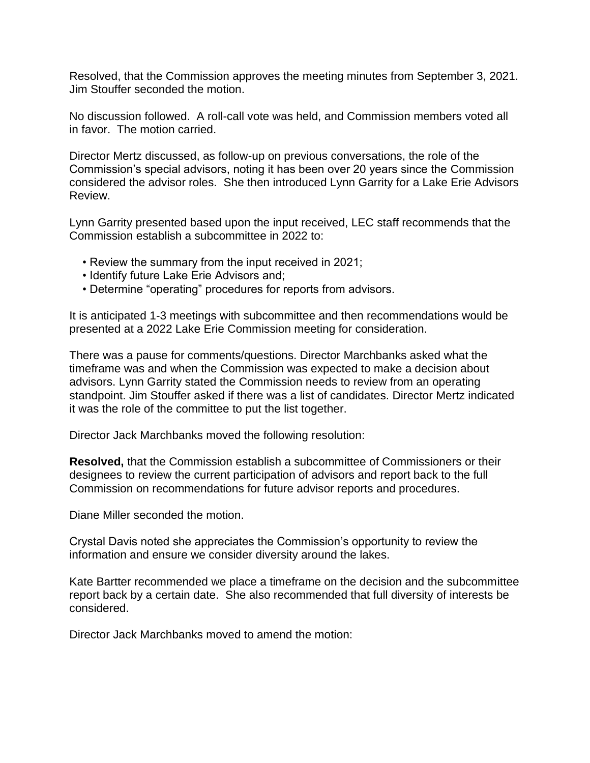Resolved, that the Commission approves the meeting minutes from September 3, 2021. Jim Stouffer seconded the motion.

No discussion followed. A roll-call vote was held, and Commission members voted all in favor. The motion carried.

Director Mertz discussed, as follow-up on previous conversations, the role of the Commission's special advisors, noting it has been over 20 years since the Commission considered the advisor roles. She then introduced Lynn Garrity for a Lake Erie Advisors Review.

Lynn Garrity presented based upon the input received, LEC staff recommends that the Commission establish a subcommittee in 2022 to:

- Review the summary from the input received in 2021;
- Identify future Lake Erie Advisors and;
- Determine "operating" procedures for reports from advisors.

It is anticipated 1-3 meetings with subcommittee and then recommendations would be presented at a 2022 Lake Erie Commission meeting for consideration.

There was a pause for comments/questions. Director Marchbanks asked what the timeframe was and when the Commission was expected to make a decision about advisors. Lynn Garrity stated the Commission needs to review from an operating standpoint. Jim Stouffer asked if there was a list of candidates. Director Mertz indicated it was the role of the committee to put the list together.

Director Jack Marchbanks moved the following resolution:

**Resolved,** that the Commission establish a subcommittee of Commissioners or their designees to review the current participation of advisors and report back to the full Commission on recommendations for future advisor reports and procedures.

Diane Miller seconded the motion.

Crystal Davis noted she appreciates the Commission's opportunity to review the information and ensure we consider diversity around the lakes.

Kate Bartter recommended we place a timeframe on the decision and the subcommittee report back by a certain date. She also recommended that full diversity of interests be considered.

Director Jack Marchbanks moved to amend the motion: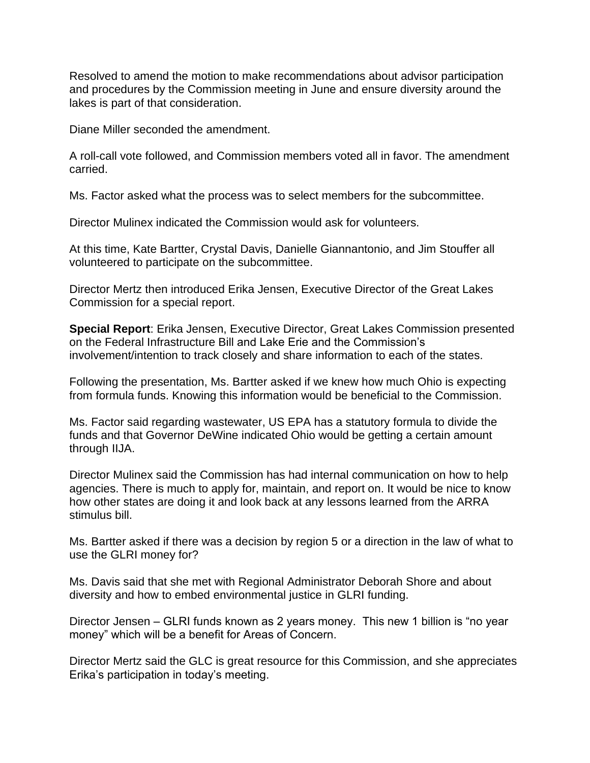Resolved to amend the motion to make recommendations about advisor participation and procedures by the Commission meeting in June and ensure diversity around the lakes is part of that consideration.

Diane Miller seconded the amendment.

A roll-call vote followed, and Commission members voted all in favor. The amendment carried.

Ms. Factor asked what the process was to select members for the subcommittee.

Director Mulinex indicated the Commission would ask for volunteers.

At this time, Kate Bartter, Crystal Davis, Danielle Giannantonio, and Jim Stouffer all volunteered to participate on the subcommittee.

Director Mertz then introduced Erika Jensen, Executive Director of the Great Lakes Commission for a special report.

**Special Report**: Erika Jensen, Executive Director, Great Lakes Commission presented on the Federal Infrastructure Bill and Lake Erie and the Commission's involvement/intention to track closely and share information to each of the states.

Following the presentation, Ms. Bartter asked if we knew how much Ohio is expecting from formula funds. Knowing this information would be beneficial to the Commission.

Ms. Factor said regarding wastewater, US EPA has a statutory formula to divide the funds and that Governor DeWine indicated Ohio would be getting a certain amount through IIJA.

Director Mulinex said the Commission has had internal communication on how to help agencies. There is much to apply for, maintain, and report on. It would be nice to know how other states are doing it and look back at any lessons learned from the ARRA stimulus bill.

Ms. Bartter asked if there was a decision by region 5 or a direction in the law of what to use the GLRI money for?

Ms. Davis said that she met with Regional Administrator Deborah Shore and about diversity and how to embed environmental justice in GLRI funding.

Director Jensen – GLRI funds known as 2 years money. This new 1 billion is "no year money" which will be a benefit for Areas of Concern.

Director Mertz said the GLC is great resource for this Commission, and she appreciates Erika's participation in today's meeting.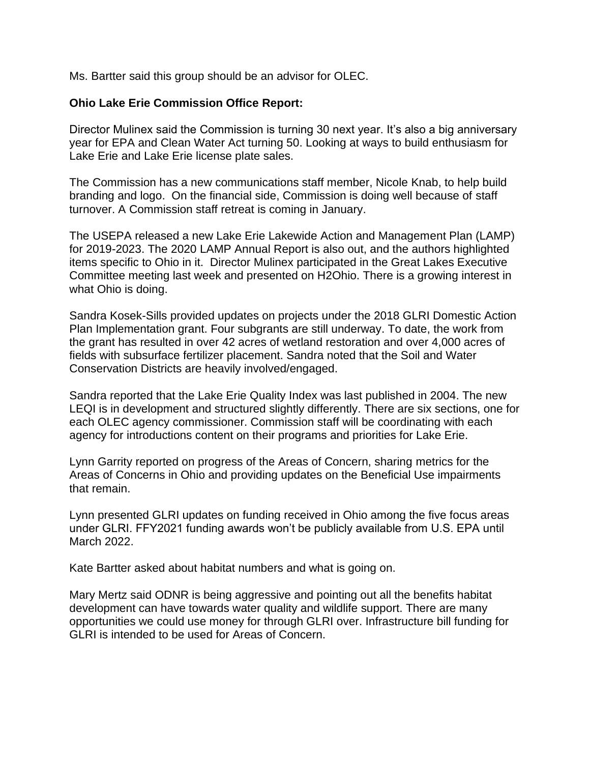Ms. Bartter said this group should be an advisor for OLEC.

### **Ohio Lake Erie Commission Office Report:**

Director Mulinex said the Commission is turning 30 next year. It's also a big anniversary year for EPA and Clean Water Act turning 50. Looking at ways to build enthusiasm for Lake Erie and Lake Erie license plate sales.

The Commission has a new communications staff member, Nicole Knab, to help build branding and logo. On the financial side, Commission is doing well because of staff turnover. A Commission staff retreat is coming in January.

The USEPA released a new Lake Erie Lakewide Action and Management Plan (LAMP) for 2019-2023. The 2020 LAMP Annual Report is also out, and the authors highlighted items specific to Ohio in it. Director Mulinex participated in the Great Lakes Executive Committee meeting last week and presented on H2Ohio. There is a growing interest in what Ohio is doing.

Sandra Kosek-Sills provided updates on projects under the 2018 GLRI Domestic Action Plan Implementation grant. Four subgrants are still underway. To date, the work from the grant has resulted in over 42 acres of wetland restoration and over 4,000 acres of fields with subsurface fertilizer placement. Sandra noted that the Soil and Water Conservation Districts are heavily involved/engaged.

Sandra reported that the Lake Erie Quality Index was last published in 2004. The new LEQI is in development and structured slightly differently. There are six sections, one for each OLEC agency commissioner. Commission staff will be coordinating with each agency for introductions content on their programs and priorities for Lake Erie.

Lynn Garrity reported on progress of the Areas of Concern, sharing metrics for the Areas of Concerns in Ohio and providing updates on the Beneficial Use impairments that remain.

Lynn presented GLRI updates on funding received in Ohio among the five focus areas under GLRI. FFY2021 funding awards won't be publicly available from U.S. EPA until March 2022.

Kate Bartter asked about habitat numbers and what is going on.

Mary Mertz said ODNR is being aggressive and pointing out all the benefits habitat development can have towards water quality and wildlife support. There are many opportunities we could use money for through GLRI over. Infrastructure bill funding for GLRI is intended to be used for Areas of Concern.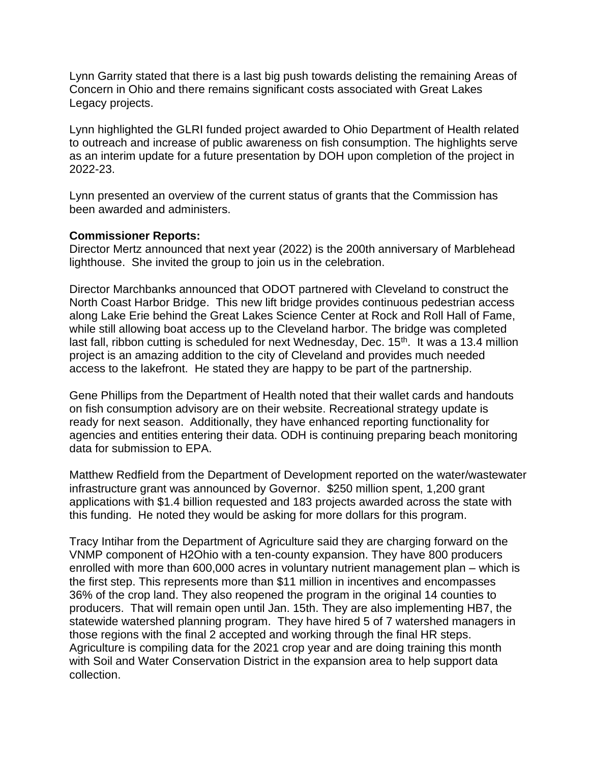Lynn Garrity stated that there is a last big push towards delisting the remaining Areas of Concern in Ohio and there remains significant costs associated with Great Lakes Legacy projects.

Lynn highlighted the GLRI funded project awarded to Ohio Department of Health related to outreach and increase of public awareness on fish consumption. The highlights serve as an interim update for a future presentation by DOH upon completion of the project in 2022-23.

Lynn presented an overview of the current status of grants that the Commission has been awarded and administers.

### **Commissioner Reports:**

Director Mertz announced that next year (2022) is the 200th anniversary of Marblehead lighthouse. She invited the group to join us in the celebration.

Director Marchbanks announced that ODOT partnered with Cleveland to construct the North Coast Harbor Bridge. This new lift bridge provides continuous pedestrian access along Lake Erie behind the Great Lakes Science Center at Rock and Roll Hall of Fame, while still allowing boat access up to the Cleveland harbor. The bridge was completed last fall, ribbon cutting is scheduled for next Wednesday, Dec. 15<sup>th</sup>. It was a 13.4 million project is an amazing addition to the city of Cleveland and provides much needed access to the lakefront. He stated they are happy to be part of the partnership.

Gene Phillips from the Department of Health noted that their wallet cards and handouts on fish consumption advisory are on their website. Recreational strategy update is ready for next season. Additionally, they have enhanced reporting functionality for agencies and entities entering their data. ODH is continuing preparing beach monitoring data for submission to EPA.

Matthew Redfield from the Department of Development reported on the water/wastewater infrastructure grant was announced by Governor. \$250 million spent, 1,200 grant applications with \$1.4 billion requested and 183 projects awarded across the state with this funding. He noted they would be asking for more dollars for this program.

Tracy Intihar from the Department of Agriculture said they are charging forward on the VNMP component of H2Ohio with a ten-county expansion. They have 800 producers enrolled with more than 600,000 acres in voluntary nutrient management plan – which is the first step. This represents more than \$11 million in incentives and encompasses 36% of the crop land. They also reopened the program in the original 14 counties to producers. That will remain open until Jan. 15th. They are also implementing HB7, the statewide watershed planning program. They have hired 5 of 7 watershed managers in those regions with the final 2 accepted and working through the final HR steps. Agriculture is compiling data for the 2021 crop year and are doing training this month with Soil and Water Conservation District in the expansion area to help support data collection.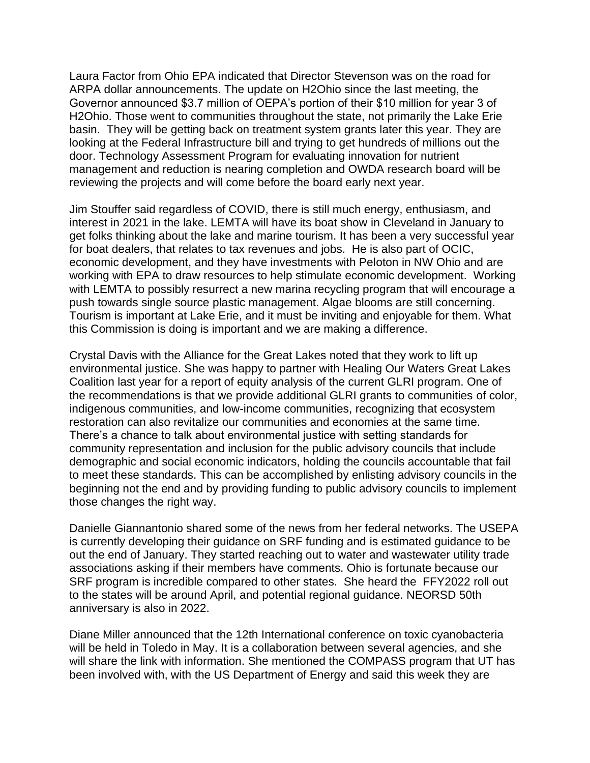Laura Factor from Ohio EPA indicated that Director Stevenson was on the road for ARPA dollar announcements. The update on H2Ohio since the last meeting, the Governor announced \$3.7 million of OEPA's portion of their \$10 million for year 3 of H2Ohio. Those went to communities throughout the state, not primarily the Lake Erie basin. They will be getting back on treatment system grants later this year. They are looking at the Federal Infrastructure bill and trying to get hundreds of millions out the door. Technology Assessment Program for evaluating innovation for nutrient management and reduction is nearing completion and OWDA research board will be reviewing the projects and will come before the board early next year.

Jim Stouffer said regardless of COVID, there is still much energy, enthusiasm, and interest in 2021 in the lake. LEMTA will have its boat show in Cleveland in January to get folks thinking about the lake and marine tourism. It has been a very successful year for boat dealers, that relates to tax revenues and jobs. He is also part of OCIC, economic development, and they have investments with Peloton in NW Ohio and are working with EPA to draw resources to help stimulate economic development. Working with LEMTA to possibly resurrect a new marina recycling program that will encourage a push towards single source plastic management. Algae blooms are still concerning. Tourism is important at Lake Erie, and it must be inviting and enjoyable for them. What this Commission is doing is important and we are making a difference.

Crystal Davis with the Alliance for the Great Lakes noted that they work to lift up environmental justice. She was happy to partner with Healing Our Waters Great Lakes Coalition last year for a report of equity analysis of the current GLRI program. One of the recommendations is that we provide additional GLRI grants to communities of color, indigenous communities, and low-income communities, recognizing that ecosystem restoration can also revitalize our communities and economies at the same time. There's a chance to talk about environmental justice with setting standards for community representation and inclusion for the public advisory councils that include demographic and social economic indicators, holding the councils accountable that fail to meet these standards. This can be accomplished by enlisting advisory councils in the beginning not the end and by providing funding to public advisory councils to implement those changes the right way.

Danielle Giannantonio shared some of the news from her federal networks. The USEPA is currently developing their guidance on SRF funding and is estimated guidance to be out the end of January. They started reaching out to water and wastewater utility trade associations asking if their members have comments. Ohio is fortunate because our SRF program is incredible compared to other states. She heard the FFY2022 roll out to the states will be around April, and potential regional guidance. NEORSD 50th anniversary is also in 2022.

Diane Miller announced that the 12th International conference on toxic cyanobacteria will be held in Toledo in May. It is a collaboration between several agencies, and she will share the link with information. She mentioned the COMPASS program that UT has been involved with, with the US Department of Energy and said this week they are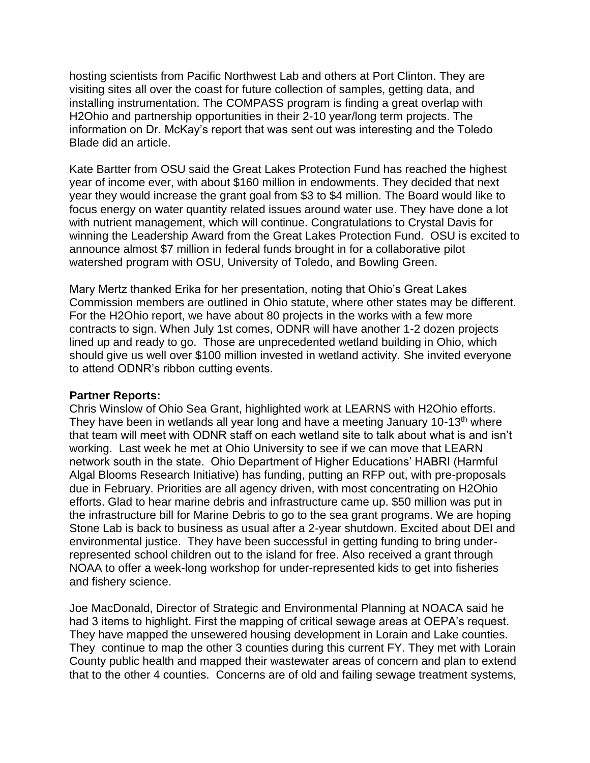hosting scientists from Pacific Northwest Lab and others at Port Clinton. They are visiting sites all over the coast for future collection of samples, getting data, and installing instrumentation. The COMPASS program is finding a great overlap with H2Ohio and partnership opportunities in their 2-10 year/long term projects. The information on Dr. McKay's report that was sent out was interesting and the Toledo Blade did an article.

Kate Bartter from OSU said the Great Lakes Protection Fund has reached the highest year of income ever, with about \$160 million in endowments. They decided that next year they would increase the grant goal from \$3 to \$4 million. The Board would like to focus energy on water quantity related issues around water use. They have done a lot with nutrient management, which will continue. Congratulations to Crystal Davis for winning the Leadership Award from the Great Lakes Protection Fund. OSU is excited to announce almost \$7 million in federal funds brought in for a collaborative pilot watershed program with OSU, University of Toledo, and Bowling Green.

Mary Mertz thanked Erika for her presentation, noting that Ohio's Great Lakes Commission members are outlined in Ohio statute, where other states may be different. For the H2Ohio report, we have about 80 projects in the works with a few more contracts to sign. When July 1st comes, ODNR will have another 1-2 dozen projects lined up and ready to go. Those are unprecedented wetland building in Ohio, which should give us well over \$100 million invested in wetland activity. She invited everyone to attend ODNR's ribbon cutting events.

# **Partner Reports:**

Chris Winslow of Ohio Sea Grant, highlighted work at LEARNS with H2Ohio efforts. They have been in wetlands all year long and have a meeting January 10-13<sup>th</sup> where that team will meet with ODNR staff on each wetland site to talk about what is and isn't working. Last week he met at Ohio University to see if we can move that LEARN network south in the state. Ohio Department of Higher Educations' HABRI (Harmful Algal Blooms Research Initiative) has funding, putting an RFP out, with pre-proposals due in February. Priorities are all agency driven, with most concentrating on H2Ohio efforts. Glad to hear marine debris and infrastructure came up. \$50 million was put in the infrastructure bill for Marine Debris to go to the sea grant programs. We are hoping Stone Lab is back to business as usual after a 2-year shutdown. Excited about DEI and environmental justice. They have been successful in getting funding to bring underrepresented school children out to the island for free. Also received a grant through NOAA to offer a week-long workshop for under-represented kids to get into fisheries and fishery science.

Joe MacDonald, Director of Strategic and Environmental Planning at NOACA said he had 3 items to highlight. First the mapping of critical sewage areas at OEPA's request. They have mapped the unsewered housing development in Lorain and Lake counties. They continue to map the other 3 counties during this current FY. They met with Lorain County public health and mapped their wastewater areas of concern and plan to extend that to the other 4 counties. Concerns are of old and failing sewage treatment systems,